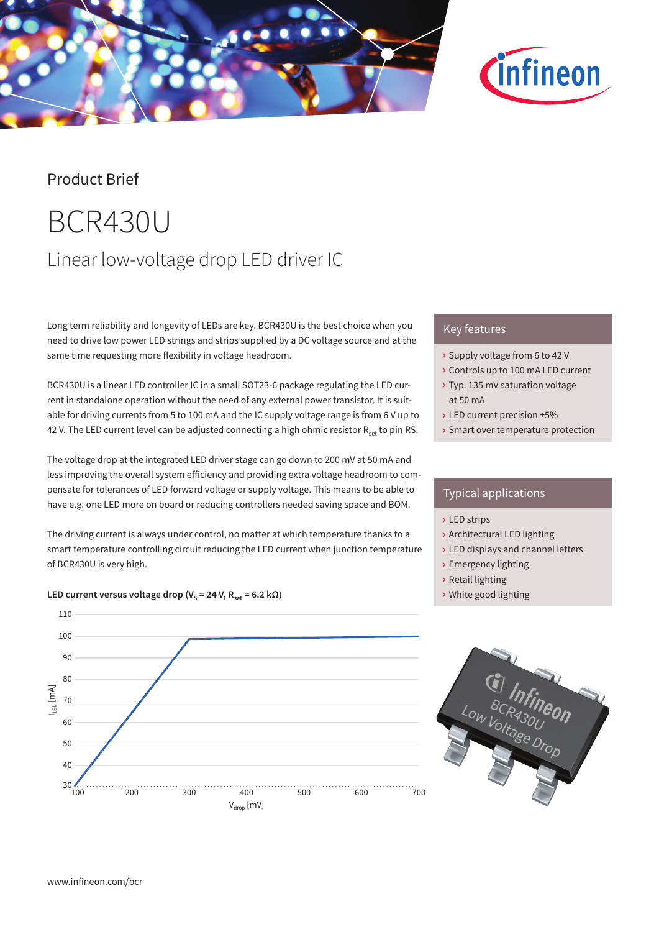



## Product Brief

# BCR430U Linear low-voltage drop LED driver IC

Long term reliability and longevity of LEDs are key. BCR430U is the best choice when you need to drive low power LED strings and strips supplied by a DC voltage source and at the same time requesting more flexibility in voltage headroom.

BCR430U is a linear LED controller IC in a small SOT23-6 package regulating the LED current in standalone operation without the need of any external power transistor. It is suitable for driving currents from 5 to 100 mA and the IC supply voltage range is from 6 V up to 42 V. The LED current level can be adjusted connecting a high ohmic resistor  $R_{set}$  to pin RS.

The voltage drop at the integrated LED driver stage can go down to 200 mV at 50 mA and less improving the overall system efficiency and providing extra voltage headroom to compensate for tolerances of LED forward voltage or supply voltage. This means to be able to have e.g. one LED more on board or reducing controllers needed saving space and BOM.

The driving current is always under control, no matter at which temperature thanks to a smart temperature controlling circuit reducing the LED current when junction temperature of BCR430U is very high.



### LED current versus voltage drop ( $V_s = 24$  V,  $R_{\text{set}} = 6.2$  k $\Omega$ )

## Key features

- › Supply voltage from 6 to 42 V
- › Controls up to 100 mA LED current
- › Typ. 135 mV saturation voltage at 50 mA
- › LED current precision ±5%
- › Smart over temperature protection

## Typical applications

- › LED strips
- › Architectural LED lighting
- › LED displays and channel letters
- › Emergency lighting
- › Retail lighting
- › White good lighting